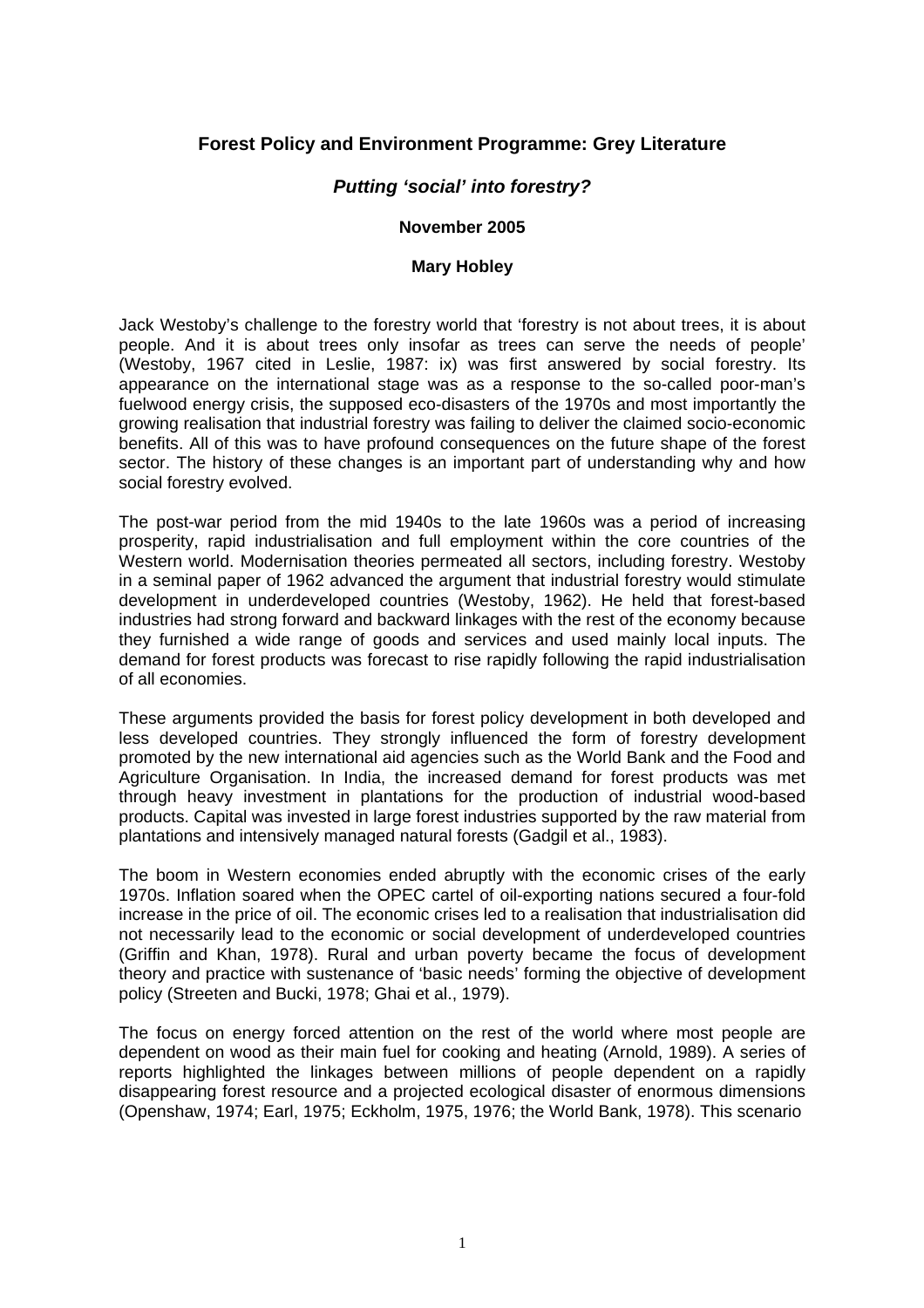# **Forest Policy and Environment Programme: Grey Literature**

## *Putting 'social' into forestry?*

### **November 2005**

#### **Mary Hobley**

Jack Westoby's challenge to the forestry world that 'forestry is not about trees, it is about people. And it is about trees only insofar as trees can serve the needs of people' (Westoby, 1967 cited in Leslie, 1987: ix) was first answered by social forestry. Its appearance on the international stage was as a response to the so-called poor-man's fuelwood energy crisis, the supposed eco-disasters of the 1970s and most importantly the growing realisation that industrial forestry was failing to deliver the claimed socio-economic benefits. All of this was to have profound consequences on the future shape of the forest sector. The history of these changes is an important part of understanding why and how social forestry evolved.

The post-war period from the mid 1940s to the late 1960s was a period of increasing prosperity, rapid industrialisation and full employment within the core countries of the Western world. Modernisation theories permeated all sectors, including forestry. Westoby in a seminal paper of 1962 advanced the argument that industrial forestry would stimulate development in underdeveloped countries (Westoby, 1962). He held that forest-based industries had strong forward and backward linkages with the rest of the economy because they furnished a wide range of goods and services and used mainly local inputs. The demand for forest products was forecast to rise rapidly following the rapid industrialisation of all economies.

These arguments provided the basis for forest policy development in both developed and less developed countries. They strongly influenced the form of forestry development promoted by the new international aid agencies such as the World Bank and the Food and Agriculture Organisation. In India, the increased demand for forest products was met through heavy investment in plantations for the production of industrial wood-based products. Capital was invested in large forest industries supported by the raw material from plantations and intensively managed natural forests (Gadgil et al., 1983).

The boom in Western economies ended abruptly with the economic crises of the early 1970s. Inflation soared when the OPEC cartel of oil-exporting nations secured a four-fold increase in the price of oil. The economic crises led to a realisation that industrialisation did not necessarily lead to the economic or social development of underdeveloped countries (Griffin and Khan, 1978). Rural and urban poverty became the focus of development theory and practice with sustenance of 'basic needs' forming the objective of development policy (Streeten and Bucki, 1978; Ghai et al., 1979).

The focus on energy forced attention on the rest of the world where most people are dependent on wood as their main fuel for cooking and heating (Arnold, 1989). A series of reports highlighted the linkages between millions of people dependent on a rapidly disappearing forest resource and a projected ecological disaster of enormous dimensions (Openshaw, 1974; Earl, 1975; Eckholm, 1975, 1976; the World Bank, 1978). This scenario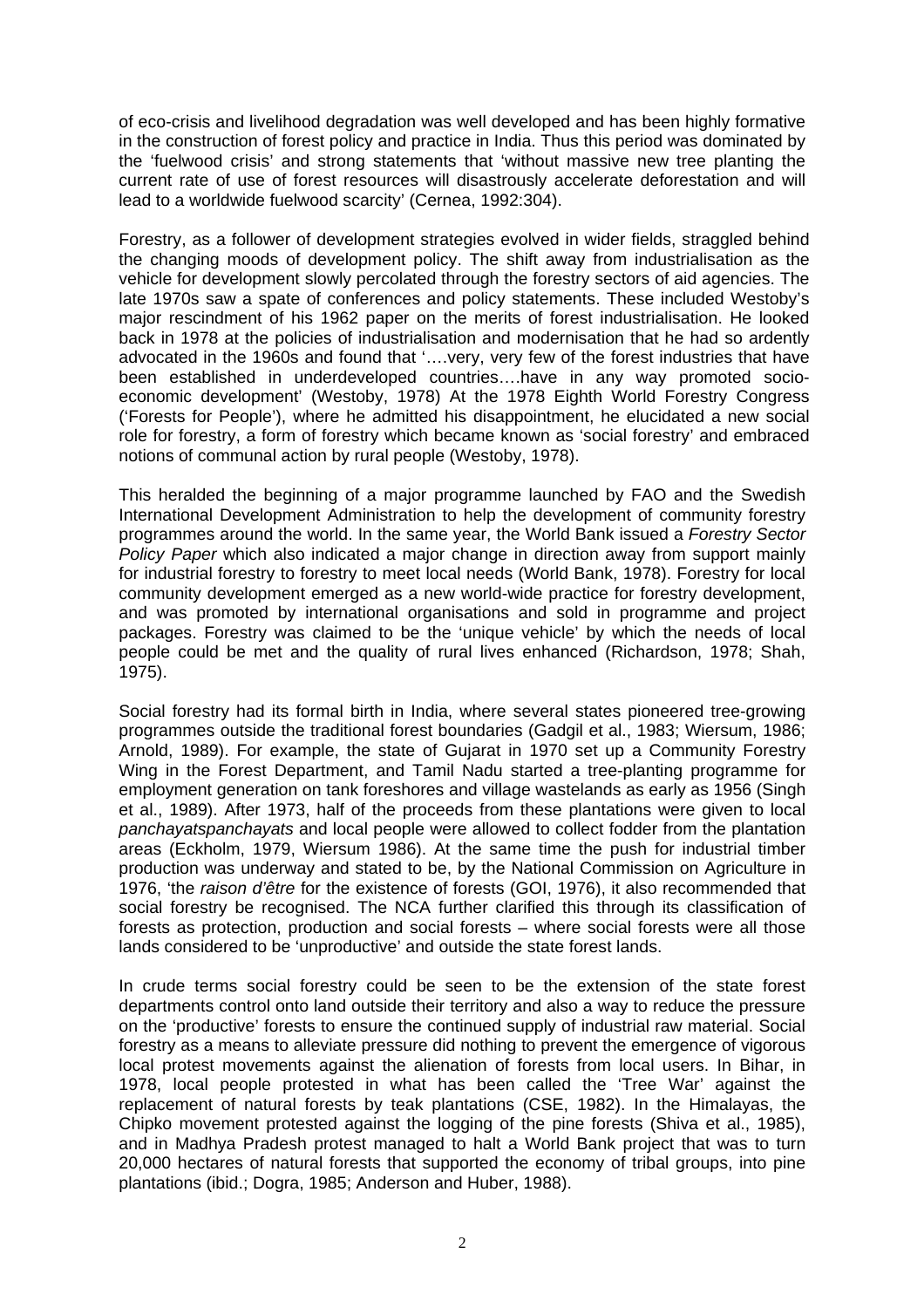of eco-crisis and livelihood degradation was well developed and has been highly formative in the construction of forest policy and practice in India. Thus this period was dominated by the 'fuelwood crisis' and strong statements that 'without massive new tree planting the current rate of use of forest resources will disastrously accelerate deforestation and will lead to a worldwide fuelwood scarcity' (Cernea, 1992:304).

Forestry, as a follower of development strategies evolved in wider fields, straggled behind the changing moods of development policy. The shift away from industrialisation as the vehicle for development slowly percolated through the forestry sectors of aid agencies. The late 1970s saw a spate of conferences and policy statements. These included Westoby's major rescindment of his 1962 paper on the merits of forest industrialisation. He looked back in 1978 at the policies of industrialisation and modernisation that he had so ardently advocated in the 1960s and found that '….very, very few of the forest industries that have been established in underdeveloped countries….have in any way promoted socioeconomic development' (Westoby, 1978) At the 1978 Eighth World Forestry Congress ('Forests for People'), where he admitted his disappointment, he elucidated a new social role for forestry, a form of forestry which became known as 'social forestry' and embraced notions of communal action by rural people (Westoby, 1978).

This heralded the beginning of a major programme launched by FAO and the Swedish International Development Administration to help the development of community forestry programmes around the world. In the same year, the World Bank issued a *Forestry Sector Policy Paper* which also indicated a major change in direction away from support mainly for industrial forestry to forestry to meet local needs (World Bank, 1978). Forestry for local community development emerged as a new world-wide practice for forestry development, and was promoted by international organisations and sold in programme and project packages. Forestry was claimed to be the 'unique vehicle' by which the needs of local people could be met and the quality of rural lives enhanced (Richardson, 1978; Shah, 1975).

Social forestry had its formal birth in India, where several states pioneered tree-growing programmes outside the traditional forest boundaries (Gadgil et al., 1983; Wiersum, 1986; Arnold, 1989). For example, the state of Gujarat in 1970 set up a Community Forestry Wing in the Forest Department, and Tamil Nadu started a tree-planting programme for employment generation on tank foreshores and village wastelands as early as 1956 (Singh et al., 1989). After 1973, half of the proceeds from these plantations were given to local *panchayatspanchayats* and local people were allowed to collect fodder from the plantation areas (Eckholm, 1979, Wiersum 1986). At the same time the push for industrial timber production was underway and stated to be, by the National Commission on Agriculture in 1976, 'the *raison d'être* for the existence of forests (GOI, 1976), it also recommended that social forestry be recognised. The NCA further clarified this through its classification of forests as protection, production and social forests – where social forests were all those lands considered to be 'unproductive' and outside the state forest lands.

In crude terms social forestry could be seen to be the extension of the state forest departments control onto land outside their territory and also a way to reduce the pressure on the 'productive' forests to ensure the continued supply of industrial raw material. Social forestry as a means to alleviate pressure did nothing to prevent the emergence of vigorous local protest movements against the alienation of forests from local users. In Bihar, in 1978, local people protested in what has been called the 'Tree War' against the replacement of natural forests by teak plantations (CSE, 1982). In the Himalayas, the Chipko movement protested against the logging of the pine forests (Shiva et al., 1985), and in Madhya Pradesh protest managed to halt a World Bank project that was to turn 20,000 hectares of natural forests that supported the economy of tribal groups, into pine plantations (ibid.; Dogra, 1985; Anderson and Huber, 1988).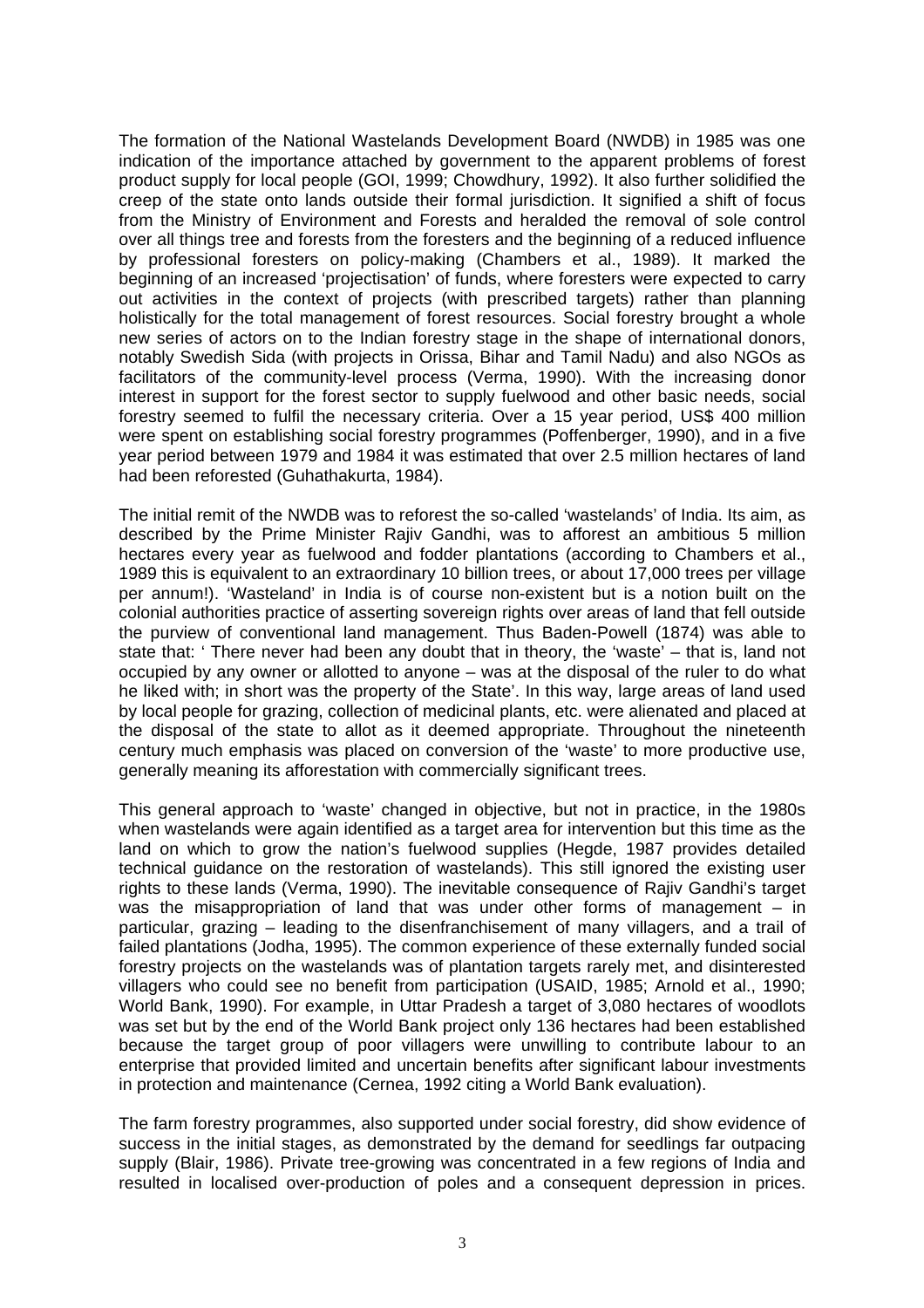The formation of the National Wastelands Development Board (NWDB) in 1985 was one indication of the importance attached by government to the apparent problems of forest product supply for local people (GOI, 1999; Chowdhury, 1992). It also further solidified the creep of the state onto lands outside their formal jurisdiction. It signified a shift of focus from the Ministry of Environment and Forests and heralded the removal of sole control over all things tree and forests from the foresters and the beginning of a reduced influence by professional foresters on policy-making (Chambers et al., 1989). It marked the beginning of an increased 'projectisation' of funds, where foresters were expected to carry out activities in the context of projects (with prescribed targets) rather than planning holistically for the total management of forest resources. Social forestry brought a whole new series of actors on to the Indian forestry stage in the shape of international donors, notably Swedish Sida (with projects in Orissa, Bihar and Tamil Nadu) and also NGOs as facilitators of the community-level process (Verma, 1990). With the increasing donor interest in support for the forest sector to supply fuelwood and other basic needs, social forestry seemed to fulfil the necessary criteria. Over a 15 year period, US\$ 400 million were spent on establishing social forestry programmes (Poffenberger, 1990), and in a five year period between 1979 and 1984 it was estimated that over 2.5 million hectares of land had been reforested (Guhathakurta, 1984).

The initial remit of the NWDB was to reforest the so-called 'wastelands' of India. Its aim, as described by the Prime Minister Rajiv Gandhi, was to afforest an ambitious 5 million hectares every year as fuelwood and fodder plantations (according to Chambers et al., 1989 this is equivalent to an extraordinary 10 billion trees, or about 17,000 trees per village per annum!). 'Wasteland' in India is of course non-existent but is a notion built on the colonial authorities practice of asserting sovereign rights over areas of land that fell outside the purview of conventional land management. Thus Baden-Powell (1874) was able to state that: ' There never had been any doubt that in theory, the 'waste' – that is, land not occupied by any owner or allotted to anyone – was at the disposal of the ruler to do what he liked with; in short was the property of the State'. In this way, large areas of land used by local people for grazing, collection of medicinal plants, etc. were alienated and placed at the disposal of the state to allot as it deemed appropriate. Throughout the nineteenth century much emphasis was placed on conversion of the 'waste' to more productive use, generally meaning its afforestation with commercially significant trees.

This general approach to 'waste' changed in objective, but not in practice, in the 1980s when wastelands were again identified as a target area for intervention but this time as the land on which to grow the nation's fuelwood supplies (Hegde, 1987 provides detailed technical guidance on the restoration of wastelands). This still ignored the existing user rights to these lands (Verma, 1990). The inevitable consequence of Rajiv Gandhi's target was the misappropriation of land that was under other forms of management – in particular, grazing – leading to the disenfranchisement of many villagers, and a trail of failed plantations (Jodha, 1995). The common experience of these externally funded social forestry projects on the wastelands was of plantation targets rarely met, and disinterested villagers who could see no benefit from participation (USAID, 1985; Arnold et al., 1990; World Bank, 1990). For example, in Uttar Pradesh a target of 3,080 hectares of woodlots was set but by the end of the World Bank project only 136 hectares had been established because the target group of poor villagers were unwilling to contribute labour to an enterprise that provided limited and uncertain benefits after significant labour investments in protection and maintenance (Cernea, 1992 citing a World Bank evaluation).

The farm forestry programmes, also supported under social forestry, did show evidence of success in the initial stages, as demonstrated by the demand for seedlings far outpacing supply (Blair, 1986). Private tree-growing was concentrated in a few regions of India and resulted in localised over-production of poles and a consequent depression in prices.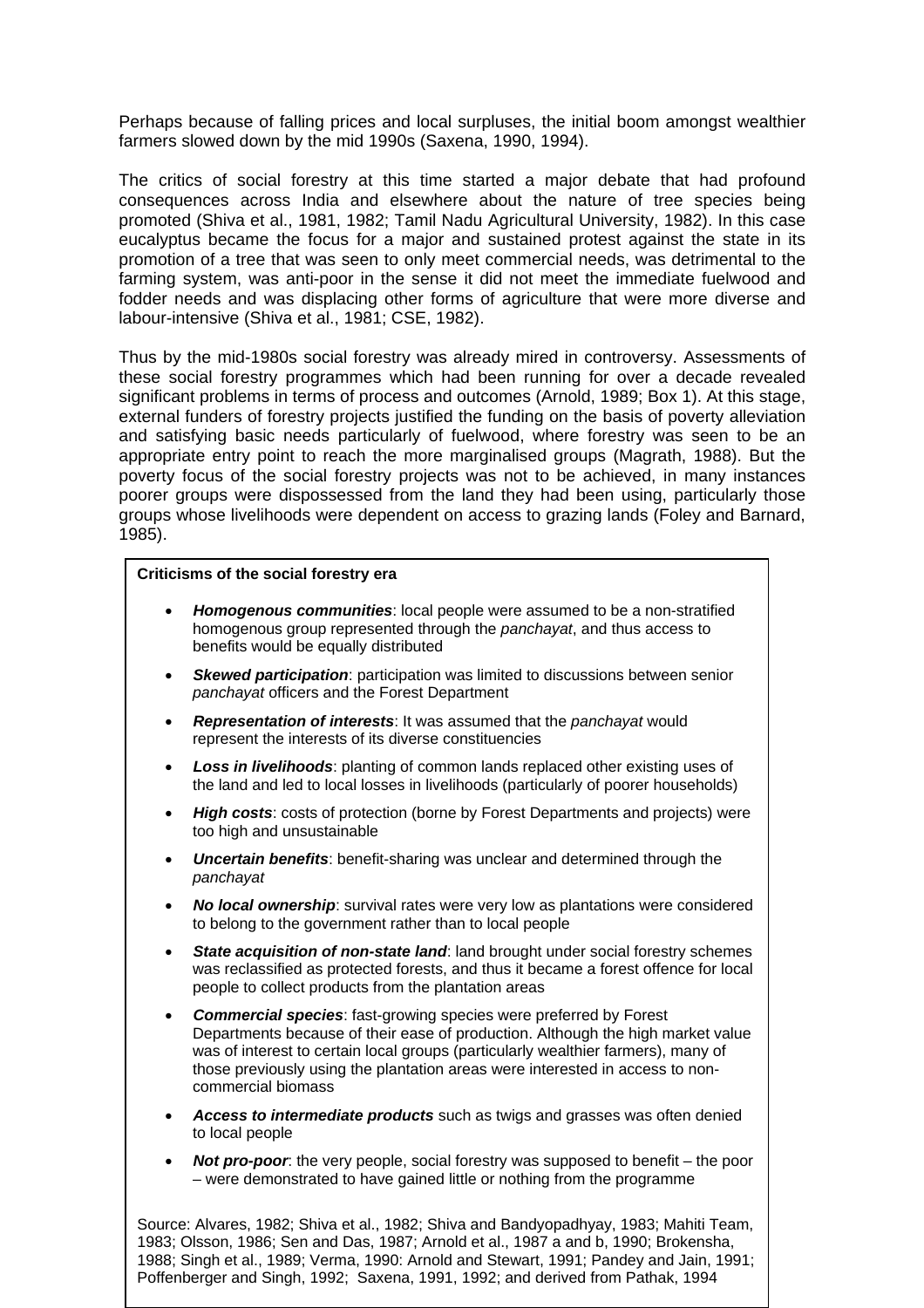Perhaps because of falling prices and local surpluses, the initial boom amongst wealthier farmers slowed down by the mid 1990s (Saxena, 1990, 1994).

The critics of social forestry at this time started a major debate that had profound consequences across India and elsewhere about the nature of tree species being promoted (Shiva et al., 1981, 1982; Tamil Nadu Agricultural University, 1982). In this case eucalyptus became the focus for a major and sustained protest against the state in its promotion of a tree that was seen to only meet commercial needs, was detrimental to the farming system, was anti-poor in the sense it did not meet the immediate fuelwood and fodder needs and was displacing other forms of agriculture that were more diverse and labour-intensive (Shiva et al., 1981; CSE, 1982).

Thus by the mid-1980s social forestry was already mired in controversy. Assessments of these social forestry programmes which had been running for over a decade revealed significant problems in terms of process and outcomes (Arnold, 1989; Box 1). At this stage, external funders of forestry projects justified the funding on the basis of poverty alleviation and satisfying basic needs particularly of fuelwood, where forestry was seen to be an appropriate entry point to reach the more marginalised groups (Magrath, 1988). But the poverty focus of the social forestry projects was not to be achieved, in many instances poorer groups were dispossessed from the land they had been using, particularly those groups whose livelihoods were dependent on access to grazing lands (Foley and Barnard, 1985).

#### **Criticisms of the social forestry era**

- *Homogenous communities*: local people were assumed to be a non-stratified homogenous group represented through the *panchayat*, and thus access to benefits would be equally distributed
- *Skewed participation*: participation was limited to discussions between senior *panchayat* officers and the Forest Department
- *Representation of interests*: It was assumed that the *panchayat* would represent the interests of its diverse constituencies
- *Loss in livelihoods*: planting of common lands replaced other existing uses of the land and led to local losses in livelihoods (particularly of poorer households)
- *High costs*: costs of protection (borne by Forest Departments and projects) were too high and unsustainable
- *Uncertain benefits*: benefit-sharing was unclear and determined through the *panchayat*
- *No local ownership*: survival rates were very low as plantations were considered to belong to the government rather than to local people
- *State acquisition of non-state land*: land brought under social forestry schemes was reclassified as protected forests, and thus it became a forest offence for local people to collect products from the plantation areas
- *Commercial species*: fast-growing species were preferred by Forest Departments because of their ease of production. Although the high market value was of interest to certain local groups (particularly wealthier farmers), many of those previously using the plantation areas were interested in access to noncommercial biomass
- *Access to intermediate products* such as twigs and grasses was often denied to local people
- *Not pro-poor*: the very people, social forestry was supposed to benefit the poor – were demonstrated to have gained little or nothing from the programme

4 1983; Olsson, 1986; Sen and Das, 1987; Arnold et al., 1987 a and b, 1990; Brokensha, Source: Alvares, 1982; Shiva et al., 1982; Shiva and Bandyopadhyay, 1983; Mahiti Team, 1988; Singh et al., 1989; Verma, 1990: Arnold and Stewart, 1991; Pandey and Jain, 1991; Poffenberger and Singh, 1992; Saxena, 1991, 1992; and derived from Pathak, 1994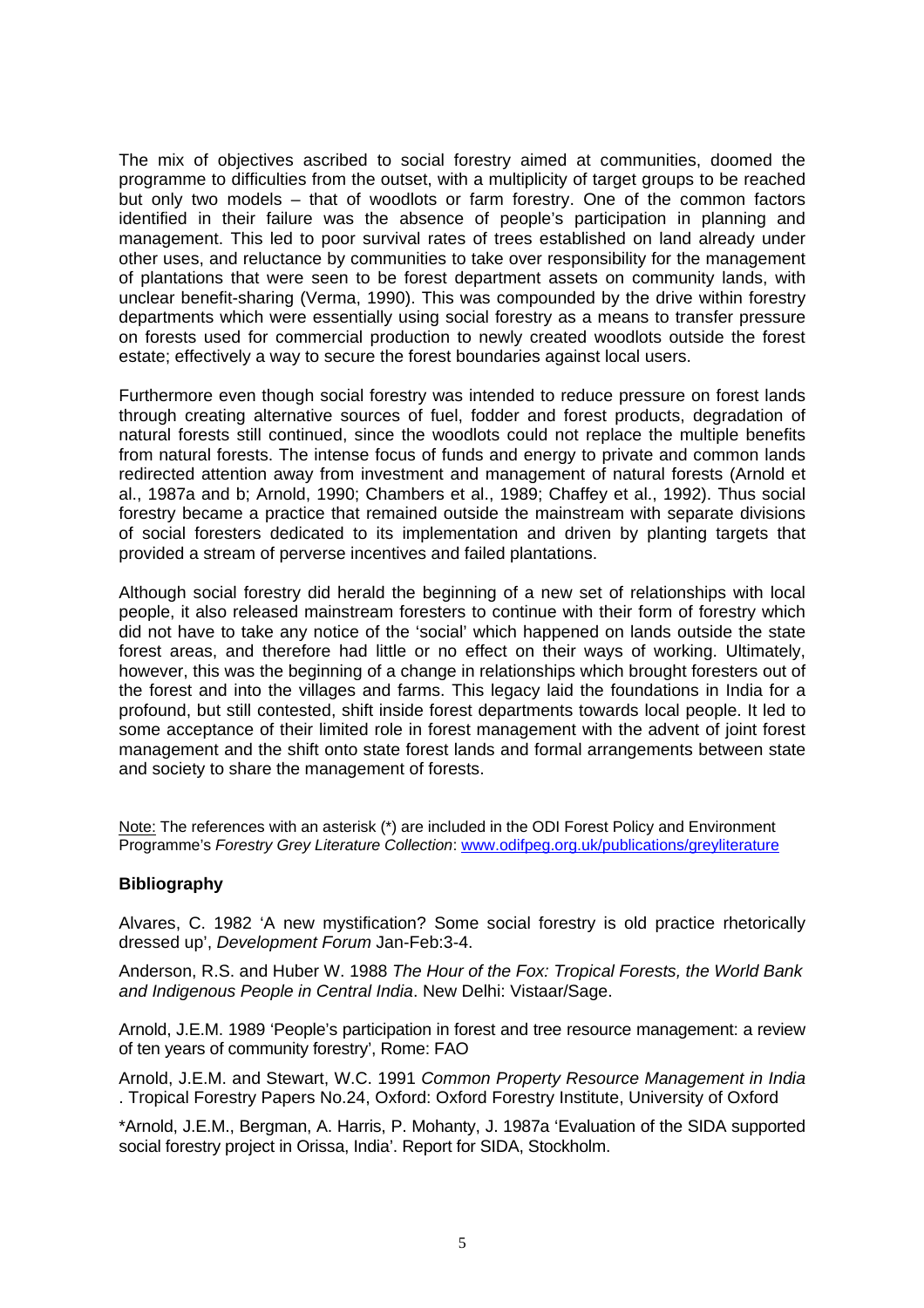The mix of objectives ascribed to social forestry aimed at communities, doomed the programme to difficulties from the outset, with a multiplicity of target groups to be reached but only two models – that of woodlots or farm forestry. One of the common factors identified in their failure was the absence of people's participation in planning and management. This led to poor survival rates of trees established on land already under other uses, and reluctance by communities to take over responsibility for the management of plantations that were seen to be forest department assets on community lands, with unclear benefit-sharing (Verma, 1990). This was compounded by the drive within forestry departments which were essentially using social forestry as a means to transfer pressure on forests used for commercial production to newly created woodlots outside the forest estate; effectively a way to secure the forest boundaries against local users.

Furthermore even though social forestry was intended to reduce pressure on forest lands through creating alternative sources of fuel, fodder and forest products, degradation of natural forests still continued, since the woodlots could not replace the multiple benefits from natural forests. The intense focus of funds and energy to private and common lands redirected attention away from investment and management of natural forests (Arnold et al., 1987a and b; Arnold, 1990; Chambers et al., 1989; Chaffey et al., 1992). Thus social forestry became a practice that remained outside the mainstream with separate divisions of social foresters dedicated to its implementation and driven by planting targets that provided a stream of perverse incentives and failed plantations.

Although social forestry did herald the beginning of a new set of relationships with local people, it also released mainstream foresters to continue with their form of forestry which did not have to take any notice of the 'social' which happened on lands outside the state forest areas, and therefore had little or no effect on their ways of working. Ultimately, however, this was the beginning of a change in relationships which brought foresters out of the forest and into the villages and farms. This legacy laid the foundations in India for a profound, but still contested, shift inside forest departments towards local people. It led to some acceptance of their limited role in forest management with the advent of joint forest management and the shift onto state forest lands and formal arrangements between state and society to share the management of forests.

Note: The references with an asterisk (\*) are included in the ODI Forest Policy and Environment Programme's *Forestry Grey Literature Collection*: www.odifpeg.org.uk/publications/greyliterature

### **Bibliography**

Alvares, C. 1982 'A new mystification? Some social forestry is old practice rhetorically dressed up', *Development Forum* Jan-Feb:3-4.

Anderson, R.S. and Huber W. 1988 *The Hour of the Fox: Tropical Forests, the World Bank and Indigenous People in Central India*. New Delhi: Vistaar/Sage.

Arnold, J.E.M. 1989 'People's participation in forest and tree resource management: a review of ten years of community forestry', Rome: FAO

Arnold, J.E.M. and Stewart, W.C. 1991 *Common Property Resource Management in India* . Tropical Forestry Papers No.24, Oxford: Oxford Forestry Institute, University of Oxford

\*Arnold, J.E.M., Bergman, A. Harris, P. Mohanty, J. 1987a 'Evaluation of the SIDA supported social forestry project in Orissa, India'. Report for SIDA, Stockholm.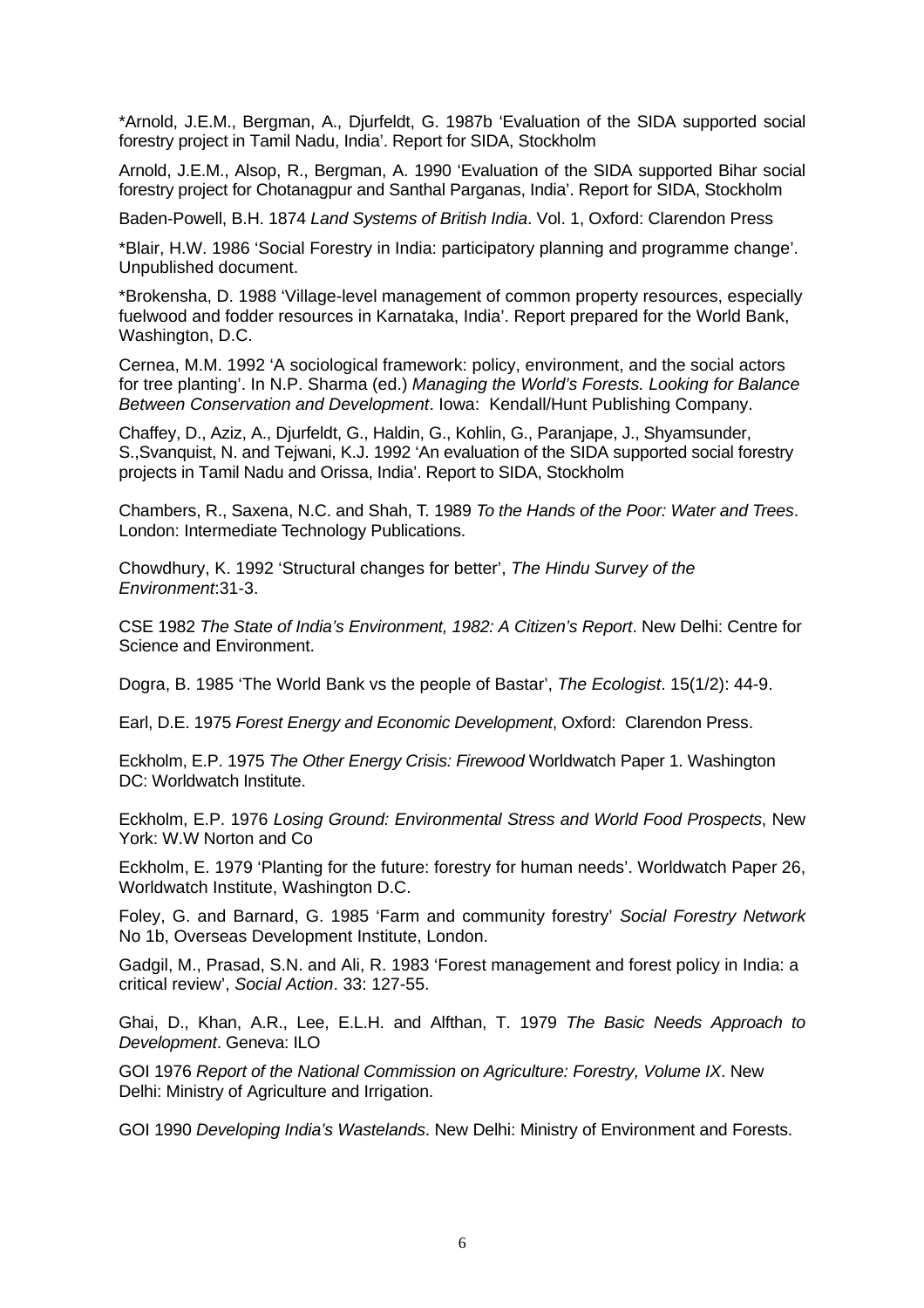\*Arnold, J.E.M., Bergman, A., Djurfeldt, G. 1987b 'Evaluation of the SIDA supported social forestry project in Tamil Nadu, India'. Report for SIDA, Stockholm

Arnold, J.E.M., Alsop, R., Bergman, A. 1990 'Evaluation of the SIDA supported Bihar social forestry project for Chotanagpur and Santhal Parganas, India'. Report for SIDA, Stockholm

Baden-Powell, B.H. 1874 *Land Systems of British India*. Vol. 1, Oxford: Clarendon Press

\*Blair, H.W. 1986 'Social Forestry in India: participatory planning and programme change'. Unpublished document.

\*Brokensha, D. 1988 'Village-level management of common property resources, especially fuelwood and fodder resources in Karnataka, India'. Report prepared for the World Bank, Washington, D.C.

Cernea, M.M. 1992 'A sociological framework: policy, environment, and the social actors for tree planting'. In N.P. Sharma (ed.) *Managing the World's Forests. Looking for Balance Between Conservation and Development*. Iowa: Kendall/Hunt Publishing Company.

Chaffey, D., Aziz, A., Djurfeldt, G., Haldin, G., Kohlin, G., Paranjape, J., Shyamsunder, S.,Svanquist, N. and Tejwani, K.J. 1992 'An evaluation of the SIDA supported social forestry projects in Tamil Nadu and Orissa, India'. Report to SIDA, Stockholm

Chambers, R., Saxena, N.C. and Shah, T. 1989 *To the Hands of the Poor: Water and Trees*. London: Intermediate Technology Publications.

Chowdhury, K. 1992 'Structural changes for better', *The Hindu Survey of the Environment*:31-3.

CSE 1982 *The State of India's Environment, 1982: A Citizen's Report*. New Delhi: Centre for Science and Environment.

Dogra, B. 1985 'The World Bank vs the people of Bastar', *The Ecologist*. 15(1/2): 44-9.

Earl, D.E. 1975 *Forest Energy and Economic Development*, Oxford: Clarendon Press.

Eckholm, E.P. 1975 *The Other Energy Crisis: Firewood* Worldwatch Paper 1. Washington DC: Worldwatch Institute.

Eckholm, E.P. 1976 *Losing Ground: Environmental Stress and World Food Prospects*, New York: W.W Norton and Co

Eckholm, E. 1979 'Planting for the future: forestry for human needs'. Worldwatch Paper 26, Worldwatch Institute, Washington D.C.

Foley, G. and Barnard, G. 1985 'Farm and community forestry' *Social Forestry Network*  No 1b, Overseas Development Institute, London.

Gadgil, M., Prasad, S.N. and Ali, R. 1983 'Forest management and forest policy in India: a critical review', *Social Action*. 33: 127-55.

Ghai, D., Khan, A.R., Lee, E.L.H. and Alfthan, T. 1979 *The Basic Needs Approach to Development*. Geneva: ILO

GOI 1976 *Report of the National Commission on Agriculture: Forestry, Volume IX*. New Delhi: Ministry of Agriculture and Irrigation.

GOI 1990 *Developing India's Wastelands*. New Delhi: Ministry of Environment and Forests.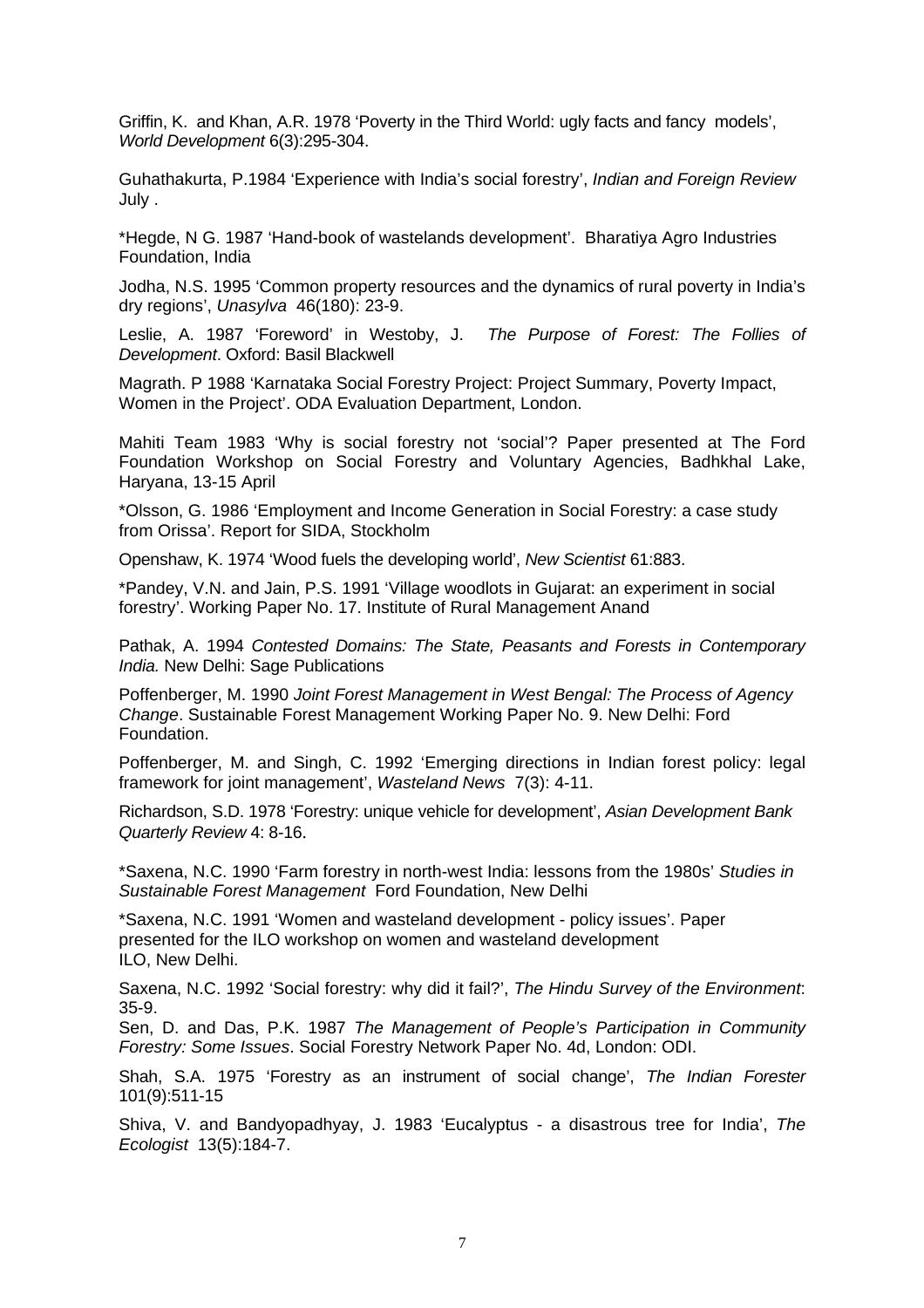Griffin, K. and Khan, A.R. 1978 'Poverty in the Third World: ugly facts and fancy models', *World Development* 6(3):295-304.

Guhathakurta, P.1984 'Experience with India's social forestry', *Indian and Foreign Review* July .

\*Hegde, N G. 1987 'Hand-book of wastelands development'. Bharatiya Agro Industries Foundation, India

Jodha, N.S. 1995 'Common property resources and the dynamics of rural poverty in India's dry regions', *Unasylva* 46(180): 23-9.

Leslie, A. 1987 'Foreword' in Westoby, J. *The Purpose of Forest: The Follies of Development*. Oxford: Basil Blackwell

Magrath. P 1988 'Karnataka Social Forestry Project: Project Summary, Poverty Impact, Women in the Project'. ODA Evaluation Department, London.

Mahiti Team 1983 'Why is social forestry not 'social'? Paper presented at The Ford Foundation Workshop on Social Forestry and Voluntary Agencies, Badhkhal Lake, Haryana, 13-15 April

\*Olsson, G. 1986 'Employment and Income Generation in Social Forestry: a case study from Orissa'. Report for SIDA, Stockholm

Openshaw, K. 1974 'Wood fuels the developing world', *New Scientist* 61:883.

\*Pandey, V.N. and Jain, P.S. 1991 'Village woodlots in Gujarat: an experiment in social forestry'. Working Paper No. 17. Institute of Rural Management Anand

Pathak, A. 1994 *Contested Domains: The State, Peasants and Forests in Contemporary India.* New Delhi: Sage Publications

Poffenberger, M. 1990 *Joint Forest Management in West Bengal: The Process of Agency Change*. Sustainable Forest Management Working Paper No. 9. New Delhi: Ford Foundation.

Poffenberger, M. and Singh, C. 1992 'Emerging directions in Indian forest policy: legal framework for joint management', *Wasteland News* 7(3): 4-11.

Richardson, S.D. 1978 'Forestry: unique vehicle for development', *Asian Development Bank Quarterly Review* 4: 8-16.

\*Saxena, N.C. 1990 'Farm forestry in north-west India: lessons from the 1980s' *Studies in Sustainable Forest Management* Ford Foundation, New Delhi

\*Saxena, N.C. 1991 'Women and wasteland development - policy issues'. Paper presented for the ILO workshop on women and wasteland development ILO, New Delhi.

Saxena, N.C. 1992 'Social forestry: why did it fail?', *The Hindu Survey of the Environment*: 35-9.

Sen, D. and Das, P.K. 1987 *The Management of People's Participation in Community Forestry: Some Issues*. Social Forestry Network Paper No. 4d, London: ODI.

Shah, S.A. 1975 'Forestry as an instrument of social change', *The Indian Forester* 101(9):511-15

Shiva, V. and Bandyopadhyay, J. 1983 'Eucalyptus - a disastrous tree for India', *The Ecologist* 13(5):184-7.